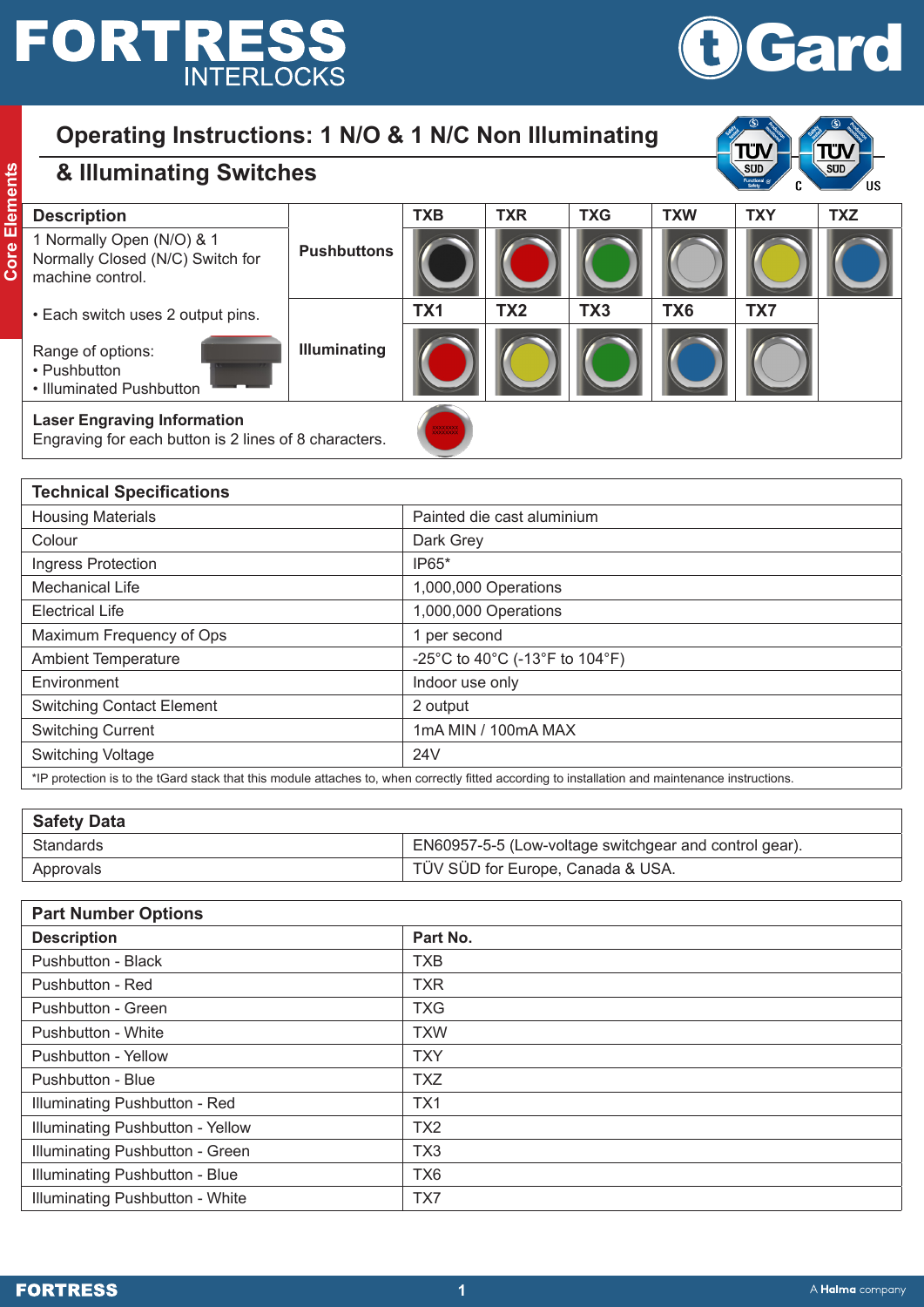# **FORTRESS INTERLOCKS**



#### **Operating Instructions: 1 N/O & 1 N/C Non Illuminating & Illuminating Switches SUD**  $\overline{\text{SUD}}$ **Core Elements Core Elements** c. ΊIS **Description TXB TXR TXG TXW TXY TXZ** 1 Normally Open (N/O) & 1 **Pushbuttons** Normally Closed (N/C) Switch for machine control. • Each switch uses 2 output pins. **TX1 TX2 TX3 TX6 TX7 Illuminating** Range of options: • Pushbutton • Illuminated Pushbutton **Laser Engraving Information** Engraving for each button is 2 lines of 8 characters. **Technical Specifications** Housing Materials Painted die cast aluminium Colour **Dark Grey** Ingress Protection and IP65\* Mechanical Life 1,000,000 Operations Electrical Life 1,000,000 Operations Maximum Frequency of Ops 1 per second

| Maximum Frequency of Ops                                                                                                                         | per second                     |  |  |
|--------------------------------------------------------------------------------------------------------------------------------------------------|--------------------------------|--|--|
| <b>Ambient Temperature</b>                                                                                                                       | -25°C to 40°C (-13°F to 104°F) |  |  |
| Environment                                                                                                                                      | Indoor use only                |  |  |
| <b>Switching Contact Element</b>                                                                                                                 | 2 output                       |  |  |
| <b>Switching Current</b>                                                                                                                         | 1mA MIN / 100mA MAX            |  |  |
| Switching Voltage                                                                                                                                | 24V                            |  |  |
| *IP protection is to the tGard stack that this module attaches to, when correctly fitted according to installation and maintenance instructions. |                                |  |  |

| <b>Safety Data</b> |                                                        |
|--------------------|--------------------------------------------------------|
| <b>Standards</b>   | EN60957-5-5 (Low-voltage switchgear and control gear). |
| Approvals          | TÜV SÜD for Europe, Canada & USA.                      |
|                    |                                                        |

| <b>Part Number Options</b>       |                 |  |  |
|----------------------------------|-----------------|--|--|
| <b>Description</b>               | Part No.        |  |  |
| <b>Pushbutton - Black</b>        | <b>TXB</b>      |  |  |
| Pushbutton - Red                 | <b>TXR</b>      |  |  |
| Pushbutton - Green               | <b>TXG</b>      |  |  |
| Pushbutton - White               | <b>TXW</b>      |  |  |
| Pushbutton - Yellow              | <b>TXY</b>      |  |  |
| Pushbutton - Blue                | <b>TXZ</b>      |  |  |
| Illuminating Pushbutton - Red    | TX1             |  |  |
| Illuminating Pushbutton - Yellow | TX <sub>2</sub> |  |  |
| Illuminating Pushbutton - Green  | TX <sub>3</sub> |  |  |
| Illuminating Pushbutton - Blue   | TX <sub>6</sub> |  |  |
| Illuminating Pushbutton - White  | TX7             |  |  |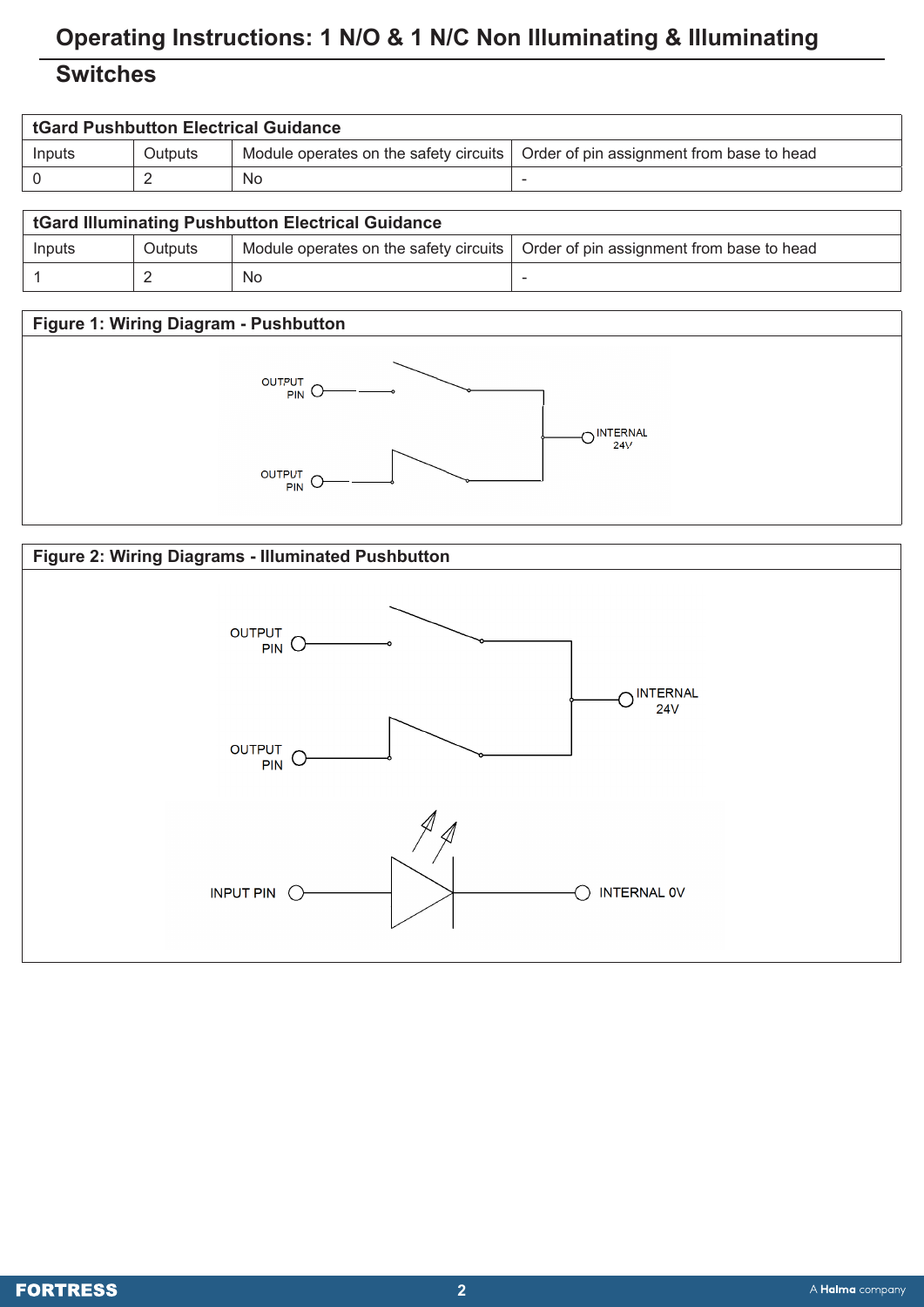# **Operating Instructions: 1 N/O & 1 N/C Non Illuminating & Illuminating**

## **Switches**

| <b>tGard Pushbutton Electrical Guidance</b> |         |    |                                                                                    |
|---------------------------------------------|---------|----|------------------------------------------------------------------------------------|
| Inputs                                      | Outputs |    | Module operates on the safety circuits   Order of pin assignment from base to head |
|                                             |         | No | -                                                                                  |
|                                             |         |    |                                                                                    |

| <b>tGard Illuminating Pushbutton Electrical Guidance</b> |                |    |                                                                                    |  |
|----------------------------------------------------------|----------------|----|------------------------------------------------------------------------------------|--|
| Inputs                                                   | <b>Outputs</b> |    | Module operates on the safety circuits   Order of pin assignment from base to head |  |
|                                                          |                | No |                                                                                    |  |

#### **Figure 1: Wiring Diagram - Pushbutton**